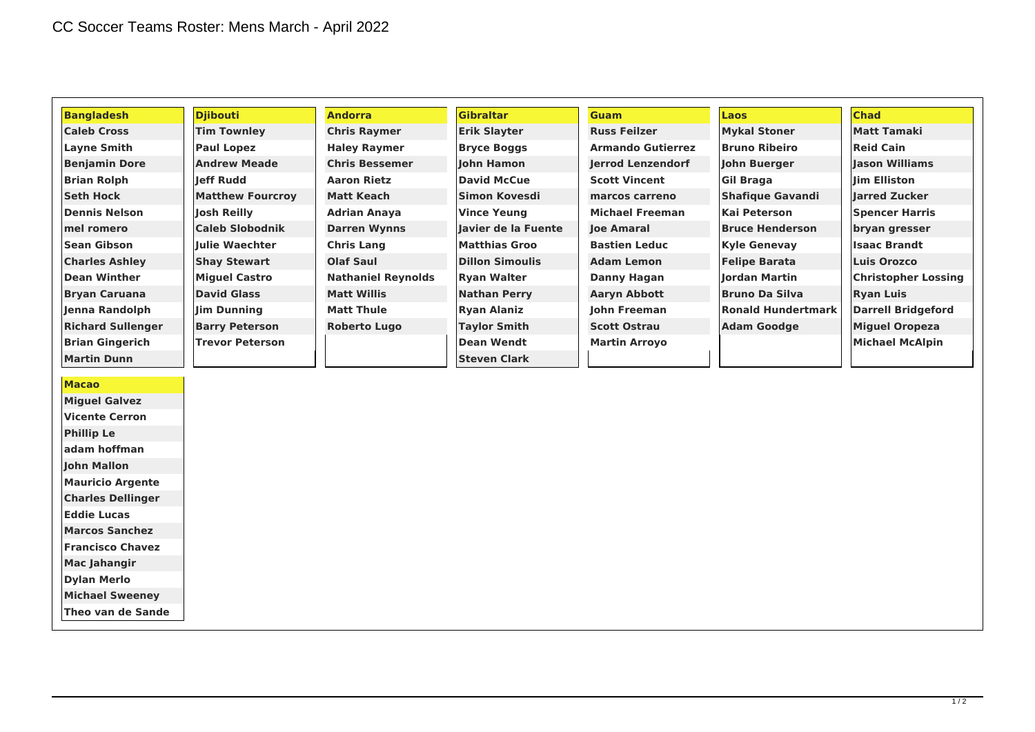| <b>Bangladesh</b>        | <b>Djibouti</b>         | <b>Andorra</b>            | <b>Gibraltar</b>       | <b>Guam</b>              | <b>Laos</b>               | <b>Chad</b>                |
|--------------------------|-------------------------|---------------------------|------------------------|--------------------------|---------------------------|----------------------------|
| <b>Caleb Cross</b>       | <b>Tim Townley</b>      | <b>Chris Raymer</b>       | <b>Erik Slayter</b>    | <b>Russ Feilzer</b>      | <b>Mykal Stoner</b>       | Matt Tamaki                |
| Layne Smith              | <b>Paul Lopez</b>       | <b>Haley Raymer</b>       | <b>Bryce Boggs</b>     | <b>Armando Gutierrez</b> | <b>Bruno Ribeiro</b>      | Reid Cain                  |
| <b>Benjamin Dore</b>     | <b>Andrew Meade</b>     | <b>Chris Bessemer</b>     | John Hamon             | lerrod Lenzendorf        | John Buerger              | lason Williams             |
| <b>Brian Rolph</b>       | leff Rudd               | <b>Aaron Rietz</b>        | <b>David McCue</b>     | <b>Scott Vincent</b>     | Gil Braga                 | lim Elliston               |
| <b>Seth Hock</b>         | <b>Matthew Fourcroy</b> | Matt Keach                | Simon Kovesdi          | marcos carreno           | <b>Shafique Gavandi</b>   | larred Zucker              |
| <b>Dennis Nelson</b>     | Josh Reilly             | <b>Adrian Anaya</b>       | <b>Vince Yeung</b>     | Michael Freeman          | Kai Peterson              | <b>Spencer Harris</b>      |
| mel romero               | <b>Caleb Slobodnik</b>  | <b>Darren Wynns</b>       | Javier de la Fuente    | <b>loe Amaral</b>        | <b>Bruce Henderson</b>    | bryan gresser              |
| <b>Sean Gibson</b>       | llulie Waechter         | <b>Chris Lang</b>         | <b>Matthias Groo</b>   | <b>Bastien Leduc</b>     | <b>Kyle Genevay</b>       | <b>Isaac Brandt</b>        |
| <b>Charles Ashley</b>    | <b>Shay Stewart</b>     | <b>Olaf Saul</b>          | <b>Dillon Simoulis</b> | Adam Lemon               | <b>Felipe Barata</b>      | <b>Luis Orozco</b>         |
| <b>Dean Winther</b>      | <b>Miquel Castro</b>    | <b>Nathaniel Reynolds</b> | <b>Ryan Walter</b>     | Danny Hagan              | lordan Martin             | <b>Christopher Lossing</b> |
| <b>Bryan Caruana</b>     | <b>David Glass</b>      | <b>Matt Willis</b>        | <b>Nathan Perry</b>    | <b>Aaryn Abbott</b>      | <b>Bruno Da Silva</b>     | <b>Ryan Luis</b>           |
| Jenna Randolph           | Jim Dunning             | <b>Matt Thule</b>         | <b>Ryan Alaniz</b>     | lohn Freeman             | <b>Ronald Hundertmark</b> | <b>Darrell Bridgeford</b>  |
| <b>Richard Sullenger</b> | <b>Barry Peterson</b>   | <b>Roberto Lugo</b>       | <b>Taylor Smith</b>    | <b>Scott Ostrau</b>      | <b>Adam Goodge</b>        | <b>Miguel Oropeza</b>      |
| <b>Brian Gingerich</b>   | <b>Trevor Peterson</b>  |                           | <b>Dean Wendt</b>      | <b>Martin Arroyo</b>     |                           | Michael McAlpin            |
| <b>Martin Dunn</b>       |                         |                           | <b>Steven Clark</b>    |                          |                           |                            |

## **Macao**

**Miguel Galvez Vicente Cerron Phillip Le adam hoffman John Mallon Mauricio Argente Charles Dellinger Eddie Lucas Marcos Sanchez Francisco Chavez Mac Jahangir Dylan Merlo Michael Sweeney**

**Theo van de Sande**